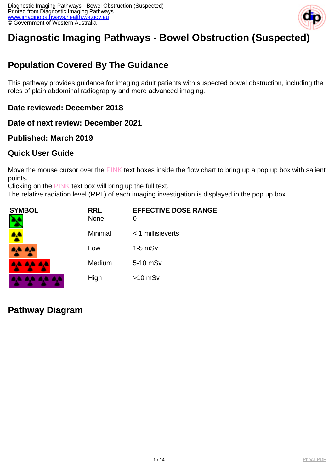

# **Diagnostic Imaging Pathways - Bowel Obstruction (Suspected)**

## **Population Covered By The Guidance**

This pathway provides guidance for imaging adult patients with suspected bowel obstruction, including the roles of plain abdominal radiography and more advanced imaging.

#### **Date reviewed: December 2018**

**Date of next review: December 2021**

### **Published: March 2019**

### **Quick User Guide**

Move the mouse cursor over the PINK text boxes inside the flow chart to bring up a pop up box with salient points.

Clicking on the PINK text box will bring up the full text.

The relative radiation level (RRL) of each imaging investigation is displayed in the pop up box.

| SYMBOL   | <b>RRL</b><br><b>None</b> | <b>EFFECTIVE DOSE RANGE</b><br>O |
|----------|---------------------------|----------------------------------|
|          | Minimal                   | $<$ 1 millisieverts              |
| 4A 4A    | Low                       | $1-5$ mS $v$                     |
| 4A 4A 4A | Medium                    | 5-10 mSv                         |
|          | High                      | $>10$ mSv                        |

**Pathway Diagram**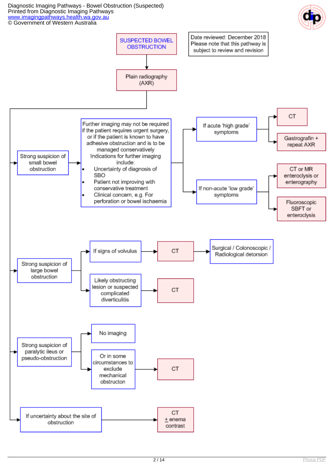Diagnostic Imaging Pathways - Bowel Obstruction (Suspected) Printed from Diagnostic Imaging Pathways [www.imagingpathways.health.wa.gov.au](http://www.imagingpathways.health.wa.gov.au/) © Government of Western Australia



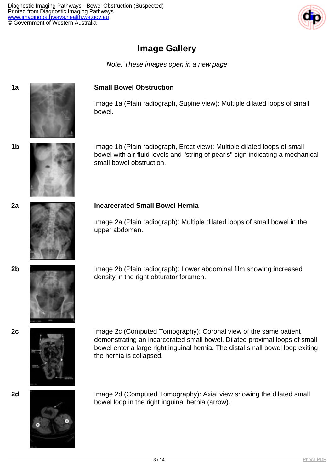

## **Image Gallery**

Note: These images open in a new page

#### **1a Small Bowel Obstruction**

Image 1a (Plain radiograph, Supine view): Multiple dilated loops of small bowel.

**1b Image 1b (Plain radiograph, Erect view): Multiple dilated loops of small** bowel with air-fluid levels and "string of pearls" sign indicating a mechanical small bowel obstruction.

#### **2a Incarcerated Small Bowel Hernia**

Image 2a (Plain radiograph): Multiple dilated loops of small bowel in the upper abdomen.

**2b Image 2b (Plain radiograph): Lower abdominal film showing increased** density in the right obturator foramen.



**2c** Image 2c (Computed Tomography): Coronal view of the same patient demonstrating an incarcerated small bowel. Dilated proximal loops of small bowel enter a large right inguinal hernia. The distal small bowel loop exiting the hernia is collapsed.



**2d IMAGE 2d** Image 2d (Computed Tomography): Axial view showing the dilated small bowel loop in the right inguinal hernia (arrow).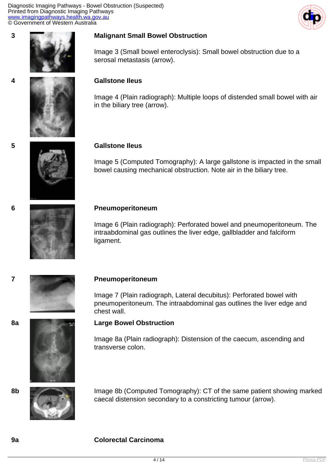Diagnostic Imaging Pathways - Bowel Obstruction (Suspected) Printed from Diagnostic Imaging Pathways [www.imagingpathways.health.wa.gov.au](http://www.imagingpathways.health.wa.gov.au/) © Government of Western Australia





#### **3 Malignant Small Bowel Obstruction**

Image 3 (Small bowel enteroclysis): Small bowel obstruction due to a serosal metastasis (arrow).

#### **4 Gallstone Ileus**

Image 4 (Plain radiograph): Multiple loops of distended small bowel with air in the biliary tree (arrow).

#### **5 Gallstone Ileus**

Image 5 (Computed Tomography): A large gallstone is impacted in the small bowel causing mechanical obstruction. Note air in the biliary tree.



#### **6 Pneumoperitoneum**

Image 6 (Plain radiograph): Perforated bowel and pneumoperitoneum. The intraabdominal gas outlines the liver edge, gallbladder and falciform ligament.



#### **7 Pneumoperitoneum**

Image 7 (Plain radiograph, Lateral decubitus): Perforated bowel with pneumoperitoneum. The intraabdominal gas outlines the liver edge and chest wall.

#### **8a Large Bowel Obstruction**

Image 8a (Plain radiograph): Distension of the caecum, ascending and transverse colon.



**8b** Image 8b (Computed Tomography): CT of the same patient showing marked caecal distension secondary to a constricting tumour (arrow).

#### **9a Colorectal Carcinoma**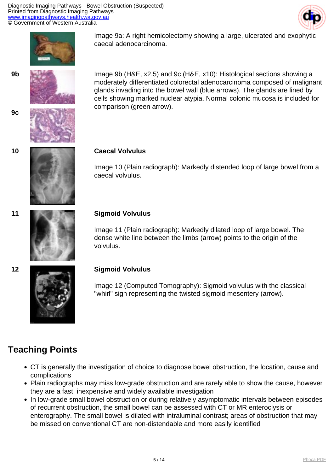



Image 9a: A right hemicolectomy showing a large, ulcerated and exophytic caecal adenocarcinoma.





**9b** Image 9b (H&E, x2.5) and 9c (H&E, x10): Histological sections showing a moderately differentiated colorectal adenocarcinoma composed of malignant glands invading into the bowel wall (blue arrows). The glands are lined by cells showing marked nuclear atypia. Normal colonic mucosa is included for comparison (green arrow).

#### **10 Caecal Volvulus**

Image 10 (Plain radiograph): Markedly distended loop of large bowel from a caecal volvulus.



#### **11 Sigmoid Volvulus**

Image 11 (Plain radiograph): Markedly dilated loop of large bowel. The dense white line between the limbs (arrow) points to the origin of the volvulus.

## **12 Sigmoid Volvulus**

Image 12 (Computed Tomography): Sigmoid volvulus with the classical "whirl" sign representing the twisted sigmoid mesentery (arrow).

## **Teaching Points**

- CT is generally the investigation of choice to diagnose bowel obstruction, the location, cause and complications
- Plain radiographs may miss low-grade obstruction and are rarely able to show the cause, however they are a fast, inexpensive and widely available investigation
- In low-grade small bowel obstruction or during relatively asymptomatic intervals between episodes of recurrent obstruction, the small bowel can be assessed with CT or MR enteroclysis or enterography. The small bowel is dilated with intraluminal contrast; areas of obstruction that may be missed on conventional CT are non-distendable and more easily identified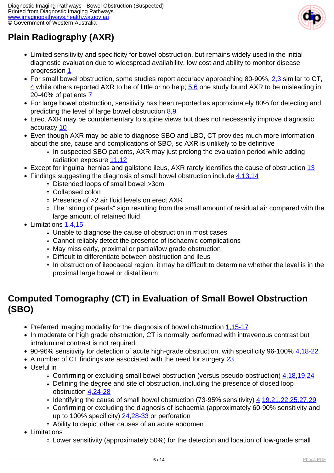

# **Plain Radiography (AXR)**

- Limited sensitivity and specificity for bowel obstruction, but remains widely used in the initial diagnostic evaluation due to widespread availability, low cost and ability to monitor disease progression [1](index.php?option=com_content&view=article&id=42&tab=references#1)
- For small bowel obstruction, some studies report accuracy approaching 80-90%, [2,3](index.php?option=com_content&view=article&id=42&tab=references#2) similar to CT,  $\frac{4}{1}$  while others reported AXR to be of little or no help;  $\frac{5.6}{1}$  one study found AXR to be misleading in 20-40% of patients [7](index.php?option=com_content&view=article&id=42&tab=references#7)
- For large bowel obstruction, sensitivity has been reported as approximately 80% for detecting and predicting the level of large bowel obstruction [8,9](index.php?option=com_content&view=article&id=42&tab=references#8)
- Erect AXR may be complementary to supine views but does not necessarily improve diagnostic accuracy [10](index.php?option=com_content&view=article&id=42&tab=references#10)
- Even though AXR may be able to diagnose SBO and LBO, CT provides much more information about the site, cause and complications of SBO, so AXR is unlikely to be definitive
	- In suspected SBO patients, AXR may just prolong the evaluation period while adding radiation exposure [11,12](index.php?option=com_content&view=article&id=42&tab=references#11)
- Except for inguinal hernias and gallstone ileus, AXR rarely identifies the cause of obstruction [13](index.php?option=com_content&view=article&id=42&tab=references#13)
- Findings suggesting the diagnosis of small bowel obstruction include [4,13,14](index.php?option=com_content&view=article&id=42&tab=references#4)
	- Distended loops of small bowel >3cm
	- Collapsed colon
	- Presence of >2 air fluid levels on erect AXR
	- The "string of pearls" sign resulting from the small amount of residual air compared with the large amount of retained fluid
- Limitations [1,4,15](index.php?option=com_content&view=article&id=42&tab=references#1)
	- Unable to diagnose the cause of obstruction in most cases
	- Cannot reliably detect the presence of ischaemic complications
	- May miss early, proximal or partial/low grade obstruction
	- Difficult to differentiate between obstruction and ileus
	- In obstruction of ileocaecal region, it may be difficult to determine whether the level is in the proximal large bowel or distal ileum

## **Computed Tomography (CT) in Evaluation of Small Bowel Obstruction (SBO)**

- Preferred imaging modality for the diagnosis of bowel obstruction [1](index.php?option=com_content&view=article&id=42&tab=references#1)[,15-17](index.php?option=com_content&view=article&id=42&tab=references#15)
- In moderate or high grade obstruction, CT is normally performed with intravenous contrast but intraluminal contrast is not required
- 90-96% sensitivity for detection of acute high-grade obstruction, with specificity 96-100% [4,](index.php?option=com_content&view=article&id=42&tab=references#4)[18-22](index.php?option=com_content&view=article&id=42&tab=references#18)
- A number of CT findings are associated with the need for surgery [23](index.php?option=com_content&view=article&id=42&tab=references#23)
- Useful in
	- Confirming or excluding small bowel obstruction (versus pseudo-obstruction) [4](index.php?option=com_content&view=article&id=42&tab=references#4),[18](index.php?option=com_content&view=article&id=42&tab=references#18)[,19,](index.php?option=com_content&view=article&id=42&tab=references#19)[24](index.php?option=com_content&view=article&id=42&tab=references#24)
	- Defining the degree and site of obstruction, including the presence of closed loop obstruction [4](index.php?option=com_content&view=article&id=42&tab=references#4)[,24-28](index.php?option=com_content&view=article&id=42&tab=references#24)
	- Identifying the cause of small bowel obstruction (73-95% sensitivity) [4,](index.php?option=com_content&view=article&id=42&tab=references#4)[19,21,22,25,27,29](index.php?option=com_content&view=article&id=42&tab=references#19)
	- Confirming or excluding the diagnosis of ischaemia (approximately 60-90% sensitivity and up to 100% specificity)  $24,28-33$  $24,28-33$  or perforation
	- Ability to depict other causes of an acute abdomen
- Limitations
	- Lower sensitivity (approximately 50%) for the detection and location of low-grade small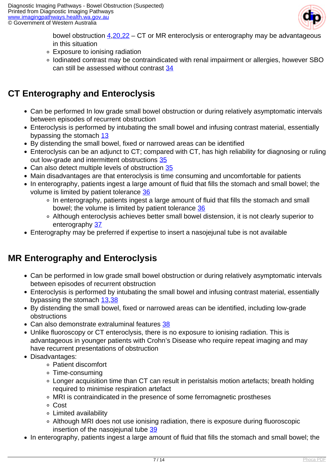

bowel obstruction [4,](index.php?option=com_content&view=article&id=42&tab=references#4)[20,22](index.php?option=com_content&view=article&id=42&tab=references#20) – CT or MR enteroclysis or enterography may be advantageous in this situation

- Exposure to ionising radiation
- Iodinated contrast may be contraindicated with renal impairment or allergies, however SBO can still be assessed without contrast [34](index.php?option=com_content&view=article&id=42&tab=references#34)

## **CT Enterography and Enteroclysis**

- Can be performed In low grade small bowel obstruction or during relatively asymptomatic intervals between episodes of recurrent obstruction
- Enteroclysis is performed by intubating the small bowel and infusing contrast material, essentially bypassing the stomach [13](index.php?option=com_content&view=article&id=42&tab=references#13)
- By distending the small bowel, fixed or narrowed areas can be identified
- Enteroclysis can be an adjunct to CT; compared with CT, has high reliability for diagnosing or ruling out low-grade and intermittent obstructions [35](index.php?option=com_content&view=article&id=42&tab=references#35)
- Can also detect multiple levels of obstruction [35](index.php?option=com_content&view=article&id=42&tab=references#35)
- Main disadvantages are that enteroclysis is time consuming and uncomfortable for patients
- In enterography, patients ingest a large amount of fluid that fills the stomach and small bowel; the volume is limited by patient tolerance [36](index.php?option=com_content&view=article&id=42&tab=references#36)
	- In enterography, patients ingest a large amount of fluid that fills the stomach and small bowel; the volume is limited by patient tolerance [36](index.php?option=com_content&view=article&id=42&tab=references#36)
	- Although enteroclysis achieves better small bowel distension, it is not clearly superior to enterography [37](index.php?option=com_content&view=article&id=42&tab=references#37)
- Enterography may be preferred if expertise to insert a nasojejunal tube is not available

## **MR Enterography and Enteroclysis**

- Can be performed in low grade small bowel obstruction or during relatively asymptomatic intervals between episodes of recurrent obstruction
- Enteroclysis is performed by intubating the small bowel and infusing contrast material, essentially bypassing the stomach [13,](index.php?option=com_content&view=article&id=42&tab=references#13)[38](index.php?option=com_content&view=article&id=42&tab=references#38)
- By distending the small bowel, fixed or narrowed areas can be identified, including low-grade obstructions
- Can also demonstrate extraluminal features [38](index.php?option=com_content&view=article&id=42&tab=references#38)
- Unlike fluoroscopy or CT enteroclysis, there is no exposure to ionising radiation. This is advantageous in younger patients with Crohn's Disease who require repeat imaging and may have recurrent presentations of obstruction
- Disadvantages:
	- Patient discomfort
	- Time-consuming
	- Longer acquisition time than CT can result in peristalsis motion artefacts; breath holding required to minimise respiration artefact
	- MRI is contraindicated in the presence of some ferromagnetic prostheses
	- Cost
	- Limited availability
	- Although MRI does not use ionising radiation, there is exposure during fluoroscopic insertion of the nasojejunal tube [39](index.php?option=com_content&view=article&id=42&tab=references#39)
- In enterography, patients ingest a large amount of fluid that fills the stomach and small bowel; the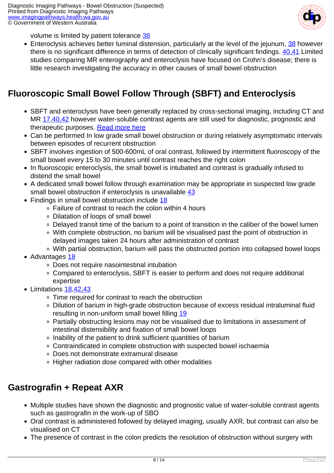

volume is limited by patient tolerance [38](index.php?option=com_content&view=article&id=42&tab=references#38)

• Enteroclysis achieves better luminal distension, particularly at the level of the jejunum, [38](index.php?option=com_content&view=article&id=42&tab=references#38) however there is no significant difference in terms of detection of clinically significant findings. [40,41](index.php?option=com_content&view=article&id=42&tab=references#40) Limited studies comparing MR enterography and enteroclysis have focused on Crohn's disease; there is little research investigating the accuracy in other causes of small bowel obstruction

## **Fluoroscopic Small Bowel Follow Through (SBFT) and Enteroclysis**

- SBFT and enteroclysis have been generally replaced by cross-sectional imaging, including CT and MR [17,](index.php?option=com_content&view=article&id=42&tab=references#17)[40,42](index.php?option=com_content&view=article&id=42&tab=references#40) however water-soluble contrast agents are still used for diagnostic, prognostic and therapeutic purposes. [Read more here](index.php?option=com_content&view=article&id=42&tab=ggaxr)
- Can be performed In low grade small bowel obstruction or during relatively asymptomatic intervals between episodes of recurrent obstruction
- SBFT involves ingestion of 500-600mL of oral contrast, followed by intermittent fluoroscopy of the small bowel every 15 to 30 minutes until contrast reaches the right colon
- In fluoroscopic enteroclysis, the small bowel is intubated and contrast is gradually infused to distend the small bowel
- A dedicated small bowel follow through examination may be appropriate in suspected low grade small bowel obstruction if enteroclysis is unavailable [43](index.php?option=com_content&view=article&id=42&tab=references#43)
- Findings in small bowel obstruction include [18](index.php?option=com_content&view=article&id=42&tab=references#18)
	- Failure of contrast to reach the colon within 4 hours
	- Dilatation of loops of small bowel
	- Delayed transit time of the barium to a point of transition in the caliber of the bowel lumen
	- With complete obstruction, no barium will be visualised past the point of obstruction in delayed images taken 24 hours after administration of contrast
	- With partial obstruction, barium will pass the obstructed portion into collapsed bowel loops
- Advantages [18](index.php?option=com_content&view=article&id=42&tab=references#18)
	- Does not require nasointestinal intubation
	- Compared to enteroclysis, SBFT is easier to perform and does not require additional expertise
- Limitations [18](index.php?option=com_content&view=article&id=42&tab=references#18),[42,43](index.php?option=com_content&view=article&id=42&tab=references#42)
	- Time required for contrast to reach the obstruction
	- Dilution of barium in high-grade obstruction because of excess residual intraluminal fluid resulting in non-uniform small bowel filling [19](index.php?option=com_content&view=article&id=42&tab=references#19)
	- Partially obstructing lesions may not be visualised due to limitations in assessment of intestinal distensibility and fixation of small bowel loops
	- Inability of the patient to drink sufficient quantities of barium
	- Contraindicated in complete obstruction with suspected bowel ischaemia
	- Does not demonstrate extramural disease
	- Higher radiation dose compared with other modalities

## **Gastrografin + Repeat AXR**

- Multiple studies have shown the diagnostic and prognostic value of water-soluble contrast agents such as gastrografin in the work-up of SBO
- Oral contrast is administered followed by delayed imaging, usually AXR, but contrast can also be visualised on CT
- The presence of contrast in the colon predicts the resolution of obstruction without surgery with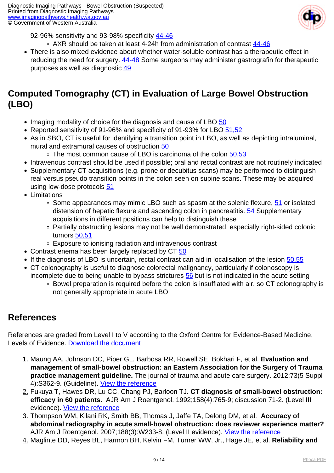

92-96% sensitivity and 93-98% specificity [44-46](index.php?option=com_content&view=article&id=42&tab=references#44)

- o AXR should be taken at least 4-24h from administration of contrast [44-46](index.php?option=com_content&view=article&id=42&tab=references#44)
- There is also mixed evidence about whether water-soluble contrast has a therapeutic effect in reducing the need for surgery. [44-48](index.php?option=com_content&view=article&id=42&tab=references#44) Some surgeons may administer gastrografin for therapeutic purposes as well as diagnostic [49](index.php?option=com_content&view=article&id=42&tab=references#49)

## **Computed Tomography (CT) in Evaluation of Large Bowel Obstruction (LBO)**

- Imaging modality of choice for the diagnosis and cause of LBO [50](index.php?option=com_content&view=article&id=42&tab=references#50)
- Reported sensitivity of 91-96% and specificity of 91-93% for LBO [51,52](index.php?option=com_content&view=article&id=42&tab=references#51)
- As in SBO, CT is useful for identifying a transition point in LBO, as well as depicting intraluminal, mural and extramural causes of obstruction [50](index.php?option=com_content&view=article&id=42&tab=references#50)
	- ∘ The most common cause of LBO is carcinoma of the colon [50,53](index.php?option=com_content&view=article&id=42&tab=references#50)
- Intravenous contrast should be used if possible; oral and rectal contrast are not routinely indicated
- Supplementary CT acquisitions (e.g. prone or decubitus scans) may be performed to distinguish real versus pseudo transition points in the colon seen on supine scans. These may be acquired using low-dose protocols [51](index.php?option=com_content&view=article&id=42&tab=references#51)
- Limitations
	- $\circ$  Some appearances may mimic LBO such as spasm at the splenic flexure, [51](index.php?option=com_content&view=article&id=42&tab=references#51) or isolated distension of hepatic flexure and ascending colon in pancreatitis. [54](index.php?option=com_content&view=article&id=42&tab=references#54) Supplementary acquisitions in different positions can help to distinguish these
	- Partially obstructing lesions may not be well demonstrated, especially right-sided colonic tumors [50,51](index.php?option=com_content&view=article&id=42&tab=references#50)
	- Exposure to ionising radiation and intravenous contrast
- Contrast enema has been largely replaced by CT [50](index.php?option=com_content&view=article&id=42&tab=references#50)
- If the diagnosis of LBO is uncertain, rectal contrast can aid in localisation of the lesion [50,55](index.php?option=com_content&view=article&id=42&tab=references#50)
- CT colonography is useful to diagnose colorectal malignancy, particularly if colonoscopy is incomplete due to being unable to bypass strictures [56](index.php?option=com_content&view=article&id=42&tab=references#56) but is not indicated in the acute setting
	- Bowel preparation is required before the colon is insufflated with air, so CT colonography is not generally appropriate in acute LBO

## **References**

References are graded from Level I to V according to the Oxford Centre for Evidence-Based Medicine, Levels of Evidence. [Download the document](http://www.cebm.net/wp-content/uploads/2014/06/CEBM-Levels-of-Evidence-2.1.pdf)

- 1. Maung AA, Johnson DC, Piper GL, Barbosa RR, Rowell SE, Bokhari F, et al. **Evaluation and management of small-bowel obstruction: an Eastern Association for the Surgery of Trauma practice management guideline.** The journal of trauma and acute care surgery. 2012;73(5 Suppl 4):S362-9. (Guideline). [View the reference]( https://www.ncbi.nlm.nih.gov/pubmed/23114494)
- 2. Fukuya T, Hawes DR, Lu CC, Chang PJ, Barloon TJ. **CT diagnosis of small-bowel obstruction: efficacy in 60 patients.** AJR Am J Roentgenol. 1992;158(4):765-9; discussion 71-2. (Level III evidence). [View the reference](https://www.ncbi.nlm.nih.gov/pubmed/1546591)
- 3. Thompson WM, Kilani RK, Smith BB, Thomas J, Jaffe TA, Delong DM, et al. **Accuracy of abdominal radiography in acute small-bowel obstruction: does reviewer experience matter?** AJR Am J Roentgenol. 2007;188(3):W233-8. (Level II evidence). [View the reference](https://www.ncbi.nlm.nih.gov/pubmed/17312028)
- 4. Maglinte DD, Reyes BL, Harmon BH, Kelvin FM, Turner WW, Jr., Hage JE, et al. **Reliability and**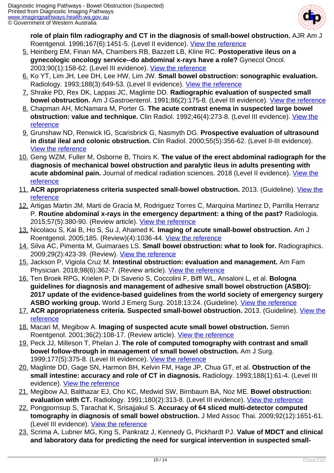

**role of plain film radiography and CT in the diagnosis of small-bowel obstruction.** AJR Am J Roentgenol. 1996;167(6):1451-5. (Level II evidence). [View the reference](https://www.ncbi.nlm.nih.gov/pubmed/8956576)

- 5. Heinberg EM, Finan MA, Chambers RB, Bazzett LB, Kline RC. **Postoperative ileus on a gynecologic oncology service--do abdominal x-rays have a role?** Gynecol Oncol. 2003;90(1):158-62. (Level III evidence). [View the reference](https://www.ncbi.nlm.nih.gov/pubmed/12821357)
- 6. Ko YT, Lim JH, Lee DH, Lee HW, Lim JW. **Small bowel obstruction: sonographic evaluation.** Radiology. 1993;188(3):649-53. (Level II evidence). [View the reference](https://www.ncbi.nlm.nih.gov/pubmed/8351327)
- 7. Shrake PD, Rex DK, Lappas JC, Maglinte DD. **Radiographic evaluation of suspected small bowel obstruction.** Am J Gastroenterol. 1991;86(2):175-8. (Level III evidence). [View the reference](https://www.ncbi.nlm.nih.gov/pubmed/1992631)
- 8. Chapman AH, McNamara M, Porter G. **The acute contrast enema in suspected large bowel obstruction: value and technique.** Clin Radiol. 1992;46(4):273-8. (Level III evidence). [View the](https://www.ncbi.nlm.nih.gov/pubmed/1424452) [reference](https://www.ncbi.nlm.nih.gov/pubmed/1424452)
- 9. Grunshaw ND, Renwick IG, Scarisbrick G, Nasmyth DG. **Prospective evaluation of ultrasound in distal ileal and colonic obstruction.** Clin Radiol. 2000;55(5):356-62. (Level II-III evidence). [View the reference](https://www.ncbi.nlm.nih.gov/pubmed/10816401)
- 10. Geng WZM, Fuller M, Osborne B, Thoirs K. **The value of the erect abdominal radiograph for the diagnosis of mechanical bowel obstruction and paralytic ileus in adults presenting with acute abdominal pain.** Journal of medical radiation sciences. 2018 (Level II evidence). [View the](https://www.ncbi.nlm.nih.gov/pubmed/30039624) [reference](https://www.ncbi.nlm.nih.gov/pubmed/30039624)
- 11. **ACR appropriateness criteria suspected small-bowel obstruction.** 2013. (Guideline). [View the](https://www.acr.org/Clinical-Resources/ACR-Appropriateness-Criteria) [reference](https://www.acr.org/Clinical-Resources/ACR-Appropriateness-Criteria)
- 12. Artigas Martin JM, Marti de Gracia M, Rodriguez Torres C, Marquina Martinez D, Parrilla Herranz P. **Routine abdominal x-rays in the emergency department: a thing of the past?** Radiologia. 2015;57(5):380-90. (Review article). [View the reference](http://www.elsevier.es/en-revista-radiologia-english-edition--419-articulo-routine-abdominal-x-rays-in-emergency-S2173510715000543#bib0300)
- 13. Nicolaou S, Kai B, Ho S, Su J, Ahamed K. **Imaging of acute small-bowel obstruction.** Am J Roentgenol. 2005;185. (Review)(4):1036-44. [View the reference](https://www.ajronline.org/doi/abs/10.2214/AJR.04.0815)
- 14. Silva AC, Pimenta M, Guimaraes LS. **Small bowel obstruction: what to look for.** Radiographics. 2009;29(2):423-39. (Review). [View the reference](https://www.ncbi.nlm.nih.gov/pubmed/19325057)
- 15. Jackson P, Vigiola Cruz M. **Intestinal obstruction: evaluation and management.** Am Fam Physician. 2018;98(6):362-7. (Review article). [View the reference](https://www.ncbi.nlm.nih.gov/pubmed/30215917)
- 16. Ten Broek RPG, Krielen P, Di Saverio S, Coccolini F, Biffl WL, Ansaloni L, et al. **Bologna guidelines for diagnosis and management of adhesive small bowel obstruction (ASBO): 2017 update of the evidence-based guidelines from the world society of emergency surgery** ASBO working group. World J Emerg Surg. 2018;13:24. (Guideline). [View the reference](https://www.ncbi.nlm.nih.gov/pubmed/29946347)
- 17. **ACR appropriateness criteria. Suspected small-bowel obstruction.** 2013. (Guideline). [View the](https://www.acr.org/Clinical-Resources/ACR-Appropriateness-Criteria) [reference](https://www.acr.org/Clinical-Resources/ACR-Appropriateness-Criteria)
- 18. Macari M, Megibow A. **Imaging of suspected acute small bowel obstruction.** Semin Roentgenol. 2001;36(2):108-17. (Review article). [View the reference](https://www.ncbi.nlm.nih.gov/pubmed/11329653)
- 19. Peck JJ, Milleson T, Phelan J. **The role of computed tomography with contrast and small bowel follow-through in management of small bowel obstruction.** Am J Surg. 1999;177(5):375-8. (Level III evidence). [View the reference](https://www.ncbi.nlm.nih.gov/pubmed/10365873)
- 20. Maglinte DD, Gage SN, Harmon BH, Kelvin FM, Hage JP, Chua GT, et al. **Obstruction of the small intestine: accuracy and role of CT in diagnosis.** Radiology. 1993;188(1):61-4. (Level III evidence). [View the reference](https://www.ncbi.nlm.nih.gov/pubmed/8511318)
- 21. Megibow AJ, Balthazar EJ, Cho KC, Medwid SW, Birnbaum BA, Noz ME. **Bowel obstruction: evaluation with CT.** Radiology. 1991;180(2):313-8. (Level III evidence). [View the reference](https://www.ncbi.nlm.nih.gov/pubmed/2068291)
- 22. Pongpornsup S, Tarachat K, Srisajjakul S. **Accuracy of 64 sliced multi-detector computed tomography in diagnosis of small bowel obstruction.** J Med Assoc Thai. 2009;92(12):1651-61. (Level III evidence). [View the reference](https://www.ncbi.nlm.nih.gov/pubmed/20043569)
- 23. Scrima A, Lubner MG, King S, Pankratz J, Kennedy G, Pickhardt PJ. **Value of MDCT and clinical and laboratory data for predicting the need for surgical intervention in suspected small-**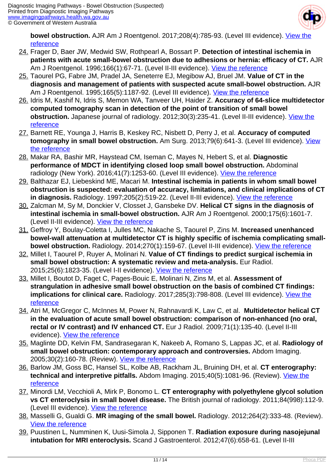

**bowel obstruction.** AJR Am J Roentgenol. 2017:208(4):785-93. (Level III evidence). [View the](https://www.ncbi.nlm.nih.gov/pubmed/28328258) [reference](https://www.ncbi.nlm.nih.gov/pubmed/28328258)

- 24. Frager D, Baer JW, Medwid SW, Rothpearl A, Bossart P. **Detection of intestinal ischemia in patients with acute small-bowel obstruction due to adhesions or hernia: efficacy of CT.** AJR Am J Roentgenol. 1996;166(1):67-71. (Level II-III evidence). [View the reference](https://www.ncbi.nlm.nih.gov/pubmed/8571907)
- 25. Taourel PG, Fabre JM, Pradel JA, Seneterre EJ, Megibow AJ, Bruel JM. **Value of CT in the diagnosis and management of patients with suspected acute small-bowel obstruction.** AJR Am J Roentgenol. 1995;165(5):1187-92. (Level III evidence). [View the reference](https://www.ncbi.nlm.nih.gov/pubmed/7572500)
- 26. Idris M, Kashif N, Idris S, Memon WA, Tanveer UH, Haider Z. **Accuracy of 64-slice multidetector computed tomography scan in detection of the point of transition of small bowel obstruction.** Japanese journal of radiology. 2012;30(3):235-41. (Level II-III evidence). [View the](https://www.ncbi.nlm.nih.gov/pubmed/22167345) [reference](https://www.ncbi.nlm.nih.gov/pubmed/22167345)
- 27. Barnett RE, Younga J, Harris B, Keskey RC, Nisbett D, Perry J, et al. **Accuracy of computed tomography in small bowel obstruction.** Am Surg. 2013;79(6):641-3. (Level III evidence). [View](https://www.ncbi.nlm.nih.gov/pubmed/23711277) [the reference](https://www.ncbi.nlm.nih.gov/pubmed/23711277)
- 28. Makar RA, Bashir MR, Haystead CM, Iseman C, Mayes N, Hebert S, et al. **Diagnostic performance of MDCT in identifying closed loop small bowel obstruction.** Abdominal radiology (New York). 2016;41(7):1253-60. (Level III evidence). [View the reference](https://www.ncbi.nlm.nih.gov/pubmed/26830421)
- 29. Balthazar EJ, Liebeskind ME, Macari M. **Intestinal ischemia in patients in whom small bowel obstruction is suspected: evaluation of accuracy, limitations, and clinical implications of CT** in diagnosis. Radiology. 1997;205(2):519-22. (Level II-III evidence). <u>[View the reference](https://www.ncbi.nlm.nih.gov/pubmed/9356638)</u>
- 30. Zalcman M, Sy M, Donckier V, Closset J, Gansbeke DV. **Helical CT signs in the diagnosis of intestinal ischemia in small-bowel obstruction.** AJR Am J Roentgenol. 2000;175(6):1601-7. (Level II-III evidence). [View the reference](https://www.ncbi.nlm.nih.gov/pubmed/11090385)
- 31. Geffroy Y, Boulay-Coletta I, Julles MC, Nakache S, Taourel P, Zins M. **Increased unenhanced bowel-wall attenuation at multidetector CT is highly specific of ischemia complicating smallbowel obstruction.** Radiology. 2014;270(1):159-67. (Level II-III evidence). [View the reference](https://www.ncbi.nlm.nih.gov/pubmed/24029649)
- 32. Millet I, Taourel P, Ruyer A, Molinari N. **Value of CT findings to predict surgical ischemia in small bowel obstruction: A systematic review and meta-analysis.** Eur Radiol. 2015;25(6):1823-35. (Level I-II evidence). [View the reference](https://www.ncbi.nlm.nih.gov/pubmed/25850889)
- 33. Millet I, Boutot D, Faget C, Pages-Bouic E, Molinari N, Zins M, et al. **Assessment of strangulation in adhesive small bowel obstruction on the basis of combined CT findings: implications for clinical care.** Radiology. 2017;285(3):798-808. (Level III evidence). <u>View the</u> [reference](https://www.ncbi.nlm.nih.gov/pubmed/28759326)
- 34. Atri M, McGregor C, McInnes M, Power N, Rahnavardi K, Law C, et al. **Multidetector helical CT in the evaluation of acute small bowel obstruction: comparison of non-enhanced (no oral, rectal or IV contrast) and IV enhanced CT.** Eur J Radiol. 2009;71(1):135-40. (Level II-III evidence). [View the reference](https://www.ncbi.nlm.nih.gov/pubmed/18534800)
- 35. Maglinte DD, Kelvin FM, Sandrasegaran K, Nakeeb A, Romano S, Lappas JC, et al. **Radiology of small bowel obstruction: contemporary approach and controversies.** Abdom Imaging. 2005;30(2):160-78. (Review). [View the reference](https://www.ncbi.nlm.nih.gov/pubmed/15688118)
- 36. Barlow JM, Goss BC, Hansel SL, Kolbe AB, Rackham JL, Bruining DH, et al. **CT enterography: technical and interpretive pitfalls.** Abdom Imaging. 2015;40(5):1081-96. (Review). [View the](https://www.ncbi.nlm.nih.gov/pubmed/25652953) [reference](https://www.ncbi.nlm.nih.gov/pubmed/25652953)
- 37. Minordi LM, Vecchioli A, Mirk P, Bonomo L. **CT enterography with polyethylene glycol solution vs CT enteroclysis in small bowel disease.** The British journal of radiology. 2011;84(998):112-9. (Level III evidence). [View the reference](https://www.ncbi.nlm.nih.gov/pubmed/20959377)
- 38. Masselli G, Gualdi G. **MR imaging of the small bowel.** Radiology. 2012;264(2):333-48. (Review). [View the reference](https://www.ncbi.nlm.nih.gov/pubmed/22821694)
- 39. Puustinen L, Numminen K, Uusi-Simola J, Sipponen T. **Radiation exposure during nasojejunal intubation for MRI enteroclysis.** Scand J Gastroenterol. 2012;47(6):658-61. (Level II-III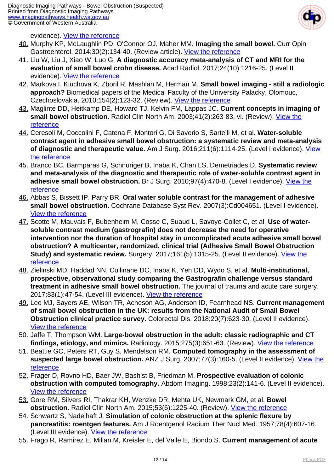

evidence). [View the reference](https://www.ncbi.nlm.nih.gov/pubmed/22458759)

- 40. Murphy KP, McLaughlin PD, O'Connor OJ, Maher MM. **Imaging the small bowel.** Curr Opin Gastroenterol. 2014;30(2):134-40. (Review article). [View the reference](https://www.ncbi.nlm.nih.gov/pubmed/24419291)
- 41. Liu W, Liu J, Xiao W, Luo G. **A diagnostic accuracy meta-analysis of CT and MRI for the evaluation of small bowel crohn disease.** Acad Radiol. 2017;24(10):1216-25. (Level II evidence). [View the reference](https://www.ncbi.nlm.nih.gov/pubmed/28595876)
- 42. Markova I, Kluchova K, Zboril R, Mashlan M, Herman M. **Small bowel imaging still a radiologic approach?** Biomedical papers of the Medical Faculty of the University Palacky, Olomouc, Czechoslovakia. 2010;154(2):123-32. (Review). [View the reference](https://www.ncbi.nlm.nih.gov/pubmed/20668493)
- 43. Maglinte DD, Heitkamp DE, Howard TJ, Kelvin FM, Lappas JC. **Current concepts in imaging of small bowel obstruction.** Radiol Clin North Am. 2003;41(2):263-83, vi. (Review). [View the](https://www.ncbi.nlm.nih.gov/pubmed/12659338) [reference](https://www.ncbi.nlm.nih.gov/pubmed/12659338)
- 44. Ceresoli M, Coccolini F, Catena F, Montori G, Di Saverio S, Sartelli M, et al. **Water-soluble contrast agent in adhesive small bowel obstruction: a systematic review and meta-analysis of diagnostic and therapeutic value.** Am J Surg. 2016;211(6):1114-25. (Level I evidence). [View](https://www.ncbi.nlm.nih.gov/pubmed/26329902) [the reference](https://www.ncbi.nlm.nih.gov/pubmed/26329902)
- 45. Branco BC, Barmparas G, Schnuriger B, Inaba K, Chan LS, Demetriades D. **Systematic review and meta-analysis of the diagnostic and therapeutic role of water-soluble contrast agent in adhesive small bowel obstruction.** Br J Surg. 2010;97(4):470-8. (Level I evidence). [View the](https://www.ncbi.nlm.nih.gov/pubmed/20205228) [reference](https://www.ncbi.nlm.nih.gov/pubmed/20205228)
- 46. Abbas S, Bissett IP, Parry BR. **Oral water soluble contrast for the management of adhesive small bowel obstruction.** Cochrane Database Syst Rev. 2007(3):Cd004651. (Level I evidence). [View the reference](https://www.ncbi.nlm.nih.gov/pubmed/17636770)
- 47. Scotte M, Mauvais F, Bubenheim M, Cosse C, Suaud L, Savoye-Collet C, et al. **Use of watersoluble contrast medium (gastrografin) does not decrease the need for operative intervention nor the duration of hospital stay in uncomplicated acute adhesive small bowel obstruction? A multicenter, randomized, clinical trial (Adhesive Small Bowel Obstruction Study) and systematic review.** Surgery. 2017;161(5):1315-25. (Level II evidence). *View the* [reference](https://www.ncbi.nlm.nih.gov/pubmed/28087066)
- 48. Zielinski MD, Haddad NN, Cullinane DC, Inaba K, Yeh DD, Wydo S, et al. **Multi-institutional, prospective, observational study comparing the Gastrografin challenge versus standard treatment in adhesive small bowel obstruction.** The journal of trauma and acute care surgery. 2017;83(1):47-54. (Level III evidence). [View the reference](https://www.ncbi.nlm.nih.gov/pubmed/28422909)
- 49. Lee MJ, Sayers AE, Wilson TR, Acheson AG, Anderson ID, Fearnhead NS. **Current management of small bowel obstruction in the UK: results from the National Audit of Small Bowel Obstruction clinical practice survey.** Colorectal Dis. 2018;20(7):623-30. (Level II evidence). [View the reference](https://www.ncbi.nlm.nih.gov/pubmed/29331086)
- 50. Jaffe T, Thompson WM. **Large-bowel obstruction in the adult: classic radiographic and CT findings, etiology, and mimics.** Radiology. 2015;275(3):651-63. (Review). [View the reference](https://www.ncbi.nlm.nih.gov/pubmed/22821694)
- 51. Beattie GC, Peters RT, Guy S, Mendelson RM. **Computed tomography in the assessment of suspected large bowel obstruction.** ANZ J Surg. 2007;77(3):160-5. (Level II evidence). [View the](https://www.ncbi.nlm.nih.gov/pubmed/17305992) [reference](https://www.ncbi.nlm.nih.gov/pubmed/17305992)
- 52. Frager D, Rovno HD, Baer JW, Bashist B, Friedman M. **Prospective evaluation of colonic obstruction with computed tomography.** Abdom Imaging. 1998;23(2):141-6. (Level II evidence). [View the reference](https://www.ncbi.nlm.nih.gov/pubmed/9516501)
- 53. Gore RM, Silvers RI, Thakrar KH, Wenzke DR, Mehta UK, Newmark GM, et al. **Bowel obstruction.** Radiol Clin North Am. 2015;53(6):1225-40. (Review). [View the reference](https://www.ncbi.nlm.nih.gov/pubmed/26526435)
- 54. Schwartz S, Nadelhaft J. **Simulation of colonic obstruction at the splenic flexure by pancreatitis: roentgen features.** Am J Roentgenol Radium Ther Nucl Med. 1957;78(4):607-16. (Level III evidence). [View the reference](https://www.ncbi.nlm.nih.gov/pubmed/13458579)
- 55. Frago R, Ramirez E, Millan M, Kreisler E, del Valle E, Biondo S. **Current management of acute**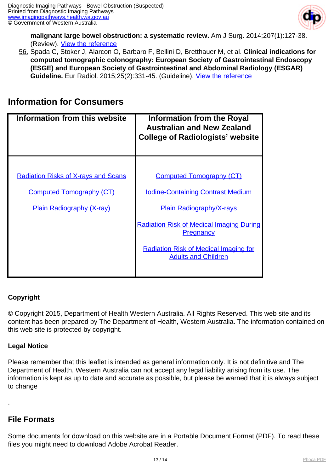

**malignant large bowel obstruction: a systematic review.** Am J Surg. 2014;207(1):127-38. (Review). [View the reference](https://www.ncbi.nlm.nih.gov/pubmed/24124659)

56. Spada C, Stoker J, Alarcon O, Barbaro F, Bellini D, Bretthauer M, et al. **Clinical indications for computed tomographic colonography: European Society of Gastrointestinal Endoscopy (ESGE) and European Society of Gastrointestinal and Abdominal Radiology (ESGAR) Guideline.** Eur Radiol. 2015;25(2):331-45. (Guideline). [View the reference](https://www.ncbi.nlm.nih.gov/pubmed/25278245)

## **Information for Consumers**

| Information from this website              | <b>Information from the Royal</b><br><b>Australian and New Zealand</b><br><b>College of Radiologists' website</b> |
|--------------------------------------------|-------------------------------------------------------------------------------------------------------------------|
|                                            |                                                                                                                   |
| <b>Radiation Risks of X-rays and Scans</b> | <b>Computed Tomography (CT)</b>                                                                                   |
| <b>Computed Tomography (CT)</b>            | <b>Iodine-Containing Contrast Medium</b>                                                                          |
| <b>Plain Radiography (X-ray)</b>           | <b>Plain Radiography/X-rays</b>                                                                                   |
|                                            | <b>Radiation Risk of Medical Imaging During</b><br><b>Pregnancy</b>                                               |
|                                            | <b>Radiation Risk of Medical Imaging for</b><br><b>Adults and Children</b>                                        |

#### **Copyright**

© Copyright 2015, Department of Health Western Australia. All Rights Reserved. This web site and its content has been prepared by The Department of Health, Western Australia. The information contained on this web site is protected by copyright.

#### **Legal Notice**

Please remember that this leaflet is intended as general information only. It is not definitive and The Department of Health, Western Australia can not accept any legal liability arising from its use. The information is kept as up to date and accurate as possible, but please be warned that it is always subject to change

#### **File Formats**

.

Some documents for download on this website are in a Portable Document Format (PDF). To read these files you might need to download Adobe Acrobat Reader.